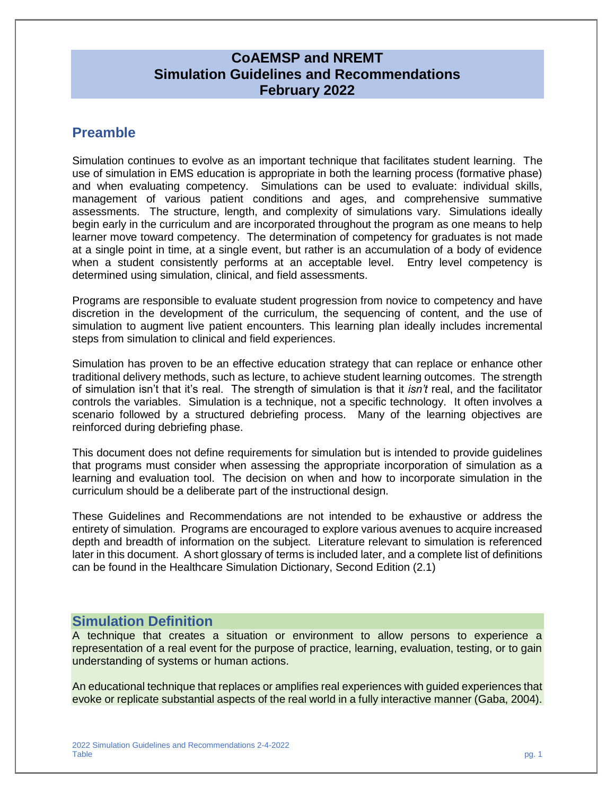### **CoAEMSP and NREMT Simulation Guidelines and Recommendations February 2022**

# **Preamble**

Simulation continues to evolve as an important technique that facilitates student learning. The use of simulation in EMS education is appropriate in both the learning process (formative phase) and when evaluating competency. Simulations can be used to evaluate: individual skills, management of various patient conditions and ages, and comprehensive summative assessments. The structure, length, and complexity of simulations vary. Simulations ideally begin early in the curriculum and are incorporated throughout the program as one means to help learner move toward competency. The determination of competency for graduates is not made at a single point in time, at a single event, but rather is an accumulation of a body of evidence when a student consistently performs at an acceptable level. Entry level competency is determined using simulation, clinical, and field assessments.

Programs are responsible to evaluate student progression from novice to competency and have discretion in the development of the curriculum, the sequencing of content, and the use of simulation to augment live patient encounters. This learning plan ideally includes incremental steps from simulation to clinical and field experiences.

Simulation has proven to be an effective education strategy that can replace or enhance other traditional delivery methods, such as lecture, to achieve student learning outcomes. The strength of simulation isn't that it's real. The strength of simulation is that it *isn't* real, and the facilitator controls the variables. Simulation is a technique, not a specific technology. It often involves a scenario followed by a structured debriefing process. Many of the learning objectives are reinforced during debriefing phase.

This document does not define requirements for simulation but is intended to provide guidelines that programs must consider when assessing the appropriate incorporation of simulation as a learning and evaluation tool. The decision on when and how to incorporate simulation in the curriculum should be a deliberate part of the instructional design.

These Guidelines and Recommendations are not intended to be exhaustive or address the entirety of simulation. Programs are encouraged to explore various avenues to acquire increased depth and breadth of information on the subject. Literature relevant to simulation is referenced later in this document. A short glossary of terms is included later, and a complete list of definitions can be found in the Healthcare Simulation Dictionary, Second Edition (2.1)

# **Simulation Definition**

A technique that creates a situation or environment to allow persons to experience a representation of a real event for the purpose of practice, learning, evaluation, testing, or to gain understanding of systems or human actions.

An educational technique that replaces or amplifies real experiences with guided experiences that evoke or replicate substantial aspects of the real world in a fully interactive manner (Gaba, 2004).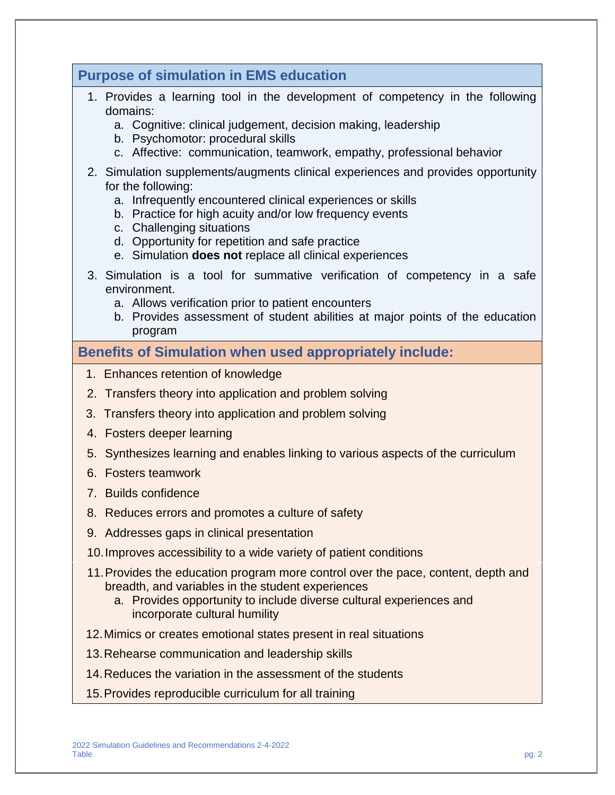| <b>Purpose of simulation in EMS education</b>                                                                                                                                                                                                                                                                                                                              |
|----------------------------------------------------------------------------------------------------------------------------------------------------------------------------------------------------------------------------------------------------------------------------------------------------------------------------------------------------------------------------|
| 1. Provides a learning tool in the development of competency in the following<br>domains:<br>a. Cognitive: clinical judgement, decision making, leadership<br>b. Psychomotor: procedural skills<br>c. Affective: communication, teamwork, empathy, professional behavior                                                                                                   |
| 2. Simulation supplements/augments clinical experiences and provides opportunity<br>for the following:<br>a. Infrequently encountered clinical experiences or skills<br>b. Practice for high acuity and/or low frequency events<br>c. Challenging situations<br>d. Opportunity for repetition and safe practice<br>e. Simulation does not replace all clinical experiences |
| 3. Simulation is a tool for summative verification of competency in a safe<br>environment.<br>a. Allows verification prior to patient encounters<br>b. Provides assessment of student abilities at major points of the education<br>program                                                                                                                                |
| <b>Benefits of Simulation when used appropriately include:</b>                                                                                                                                                                                                                                                                                                             |
| 1. Enhances retention of knowledge                                                                                                                                                                                                                                                                                                                                         |
| 2. Transfers theory into application and problem solving                                                                                                                                                                                                                                                                                                                   |
| Transfers theory into application and problem solving<br>3.                                                                                                                                                                                                                                                                                                                |
| 4. Fosters deeper learning                                                                                                                                                                                                                                                                                                                                                 |
| 5. Synthesizes learning and enables linking to various aspects of the curriculum                                                                                                                                                                                                                                                                                           |
| 6. Fosters teamwork                                                                                                                                                                                                                                                                                                                                                        |
| 7. Builds confidence                                                                                                                                                                                                                                                                                                                                                       |
| 8. Reduces errors and promotes a culture of safety                                                                                                                                                                                                                                                                                                                         |
| 9. Addresses gaps in clinical presentation                                                                                                                                                                                                                                                                                                                                 |
| 10. Improves accessibility to a wide variety of patient conditions                                                                                                                                                                                                                                                                                                         |
| 11. Provides the education program more control over the pace, content, depth and<br>breadth, and variables in the student experiences<br>a. Provides opportunity to include diverse cultural experiences and<br>incorporate cultural humility                                                                                                                             |
| 12. Mimics or creates emotional states present in real situations                                                                                                                                                                                                                                                                                                          |
| 13. Rehearse communication and leadership skills                                                                                                                                                                                                                                                                                                                           |
| 14. Reduces the variation in the assessment of the students                                                                                                                                                                                                                                                                                                                |
| 15. Provides reproducible curriculum for all training                                                                                                                                                                                                                                                                                                                      |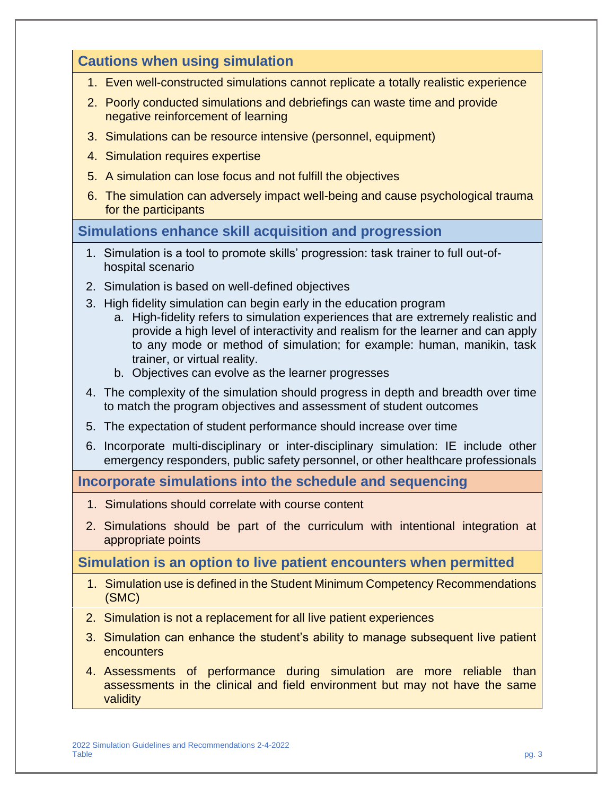# **Cautions when using simulation** 1. Even well-constructed simulations cannot replicate a totally realistic experience 2. Poorly conducted simulations and debriefings can waste time and provide negative reinforcement of learning 3. Simulations can be resource intensive (personnel, equipment) 4. Simulation requires expertise 5. A simulation can lose focus and not fulfill the objectives 6. The simulation can adversely impact well-being and cause psychological trauma for the participants **Simulations enhance skill acquisition and progression** 1. Simulation is a tool to promote skills' progression: task trainer to full out-ofhospital scenario 2. Simulation is based on well-defined objectives 3. High fidelity simulation can begin early in the education program a. High-fidelity refers to simulation experiences that are extremely realistic and provide a high level of interactivity and realism for the learner and can apply to any mode or method of simulation; for example: human, manikin, task trainer, or virtual reality. b. Objectives can evolve as the learner progresses 4. The complexity of the simulation should progress in depth and breadth over time to match the program objectives and assessment of student outcomes 5. The expectation of student performance should increase over time 6. Incorporate multi-disciplinary or inter-disciplinary simulation: IE include other emergency responders, public safety personnel, or other healthcare professionals **Incorporate simulations into the schedule and sequencing** 1. Simulations should correlate with course content 2. Simulations should be part of the curriculum with intentional integration at appropriate points **Simulation is an option to live patient encounters when permitted** 1. Simulation use is defined in the Student Minimum Competency Recommendations (SMC) 2. Simulation is not a replacement for all live patient experiences 3. Simulation can enhance the student's ability to manage subsequent live patient **encounters** 4. Assessments of performance during simulation are more reliable than assessments in the clinical and field environment but may not have the same validity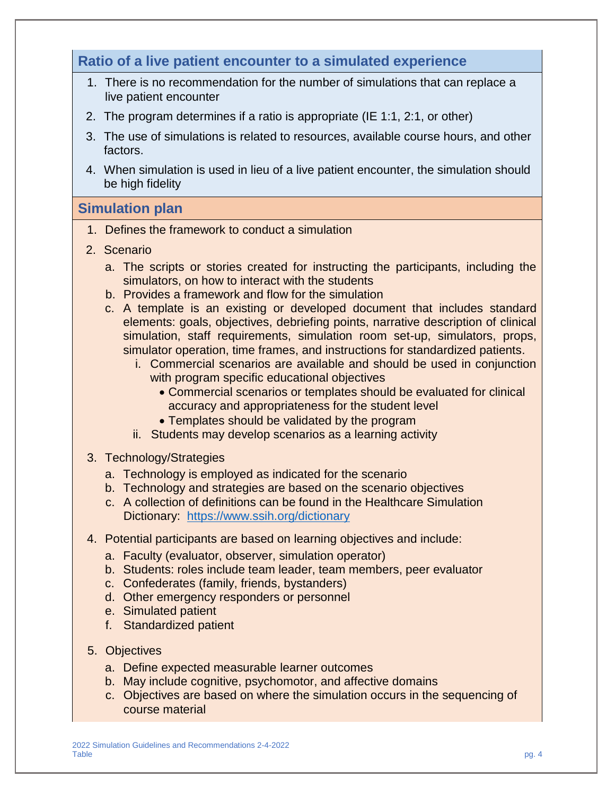# **Ratio of a live patient encounter to a simulated experience**

- 1. There is no recommendation for the number of simulations that can replace a live patient encounter
- 2. The program determines if a ratio is appropriate (IE 1:1, 2:1, or other)
- 3. The use of simulations is related to resources, available course hours, and other factors.
- 4. When simulation is used in lieu of a live patient encounter, the simulation should be high fidelity

## **Simulation plan**

- 1. Defines the framework to conduct a simulation
- 2. Scenario
	- a. The scripts or stories created for instructing the participants, including the simulators, on how to interact with the students
	- b. Provides a framework and flow for the simulation
	- c. A template is an existing or developed document that includes standard elements: goals, objectives, debriefing points, narrative description of clinical simulation, staff requirements, simulation room set-up, simulators, props, simulator operation, time frames, and instructions for standardized patients.
		- i. Commercial scenarios are available and should be used in conjunction with program specific educational objectives
			- Commercial scenarios or templates should be evaluated for clinical accuracy and appropriateness for the student level
			- Templates should be validated by the program
		- ii. Students may develop scenarios as a learning activity
- 3. Technology/Strategies
	- a. Technology is employed as indicated for the scenario
	- b. Technology and strategies are based on the scenario objectives
	- c. A collection of definitions can be found in the Healthcare Simulation Dictionary: <https://www.ssih.org/dictionary>
- 4. Potential participants are based on learning objectives and include:
	- a. Faculty (evaluator, observer, simulation operator)
	- b. Students: roles include team leader, team members, peer evaluator
	- c. Confederates (family, friends, bystanders)
	- d. Other emergency responders or personnel
	- e. Simulated patient
	- f. Standardized patient
- 5. Objectives
	- a. Define expected measurable learner outcomes
	- b. May include cognitive, psychomotor, and affective domains
	- c. Objectives are based on where the simulation occurs in the sequencing of course material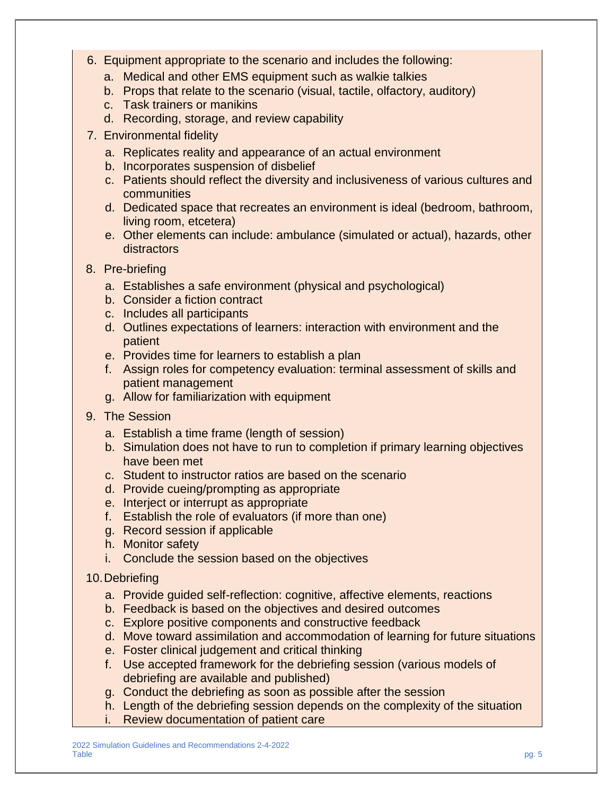- 6. Equipment appropriate to the scenario and includes the following:
	- a. Medical and other EMS equipment such as walkie talkies
	- b. Props that relate to the scenario (visual, tactile, olfactory, auditory)
	- c. Task trainers or manikins
	- d. Recording, storage, and review capability
- 7. Environmental fidelity
	- a. Replicates reality and appearance of an actual environment
	- b. Incorporates suspension of disbelief
	- c. Patients should reflect the diversity and inclusiveness of various cultures and communities
	- d. Dedicated space that recreates an environment is ideal (bedroom, bathroom, living room, etcetera)
	- e. Other elements can include: ambulance (simulated or actual), hazards, other distractors
- 8. Pre-briefing
	- a. Establishes a safe environment (physical and psychological)
	- b. Consider a fiction contract
	- c. Includes all participants
	- d. Outlines expectations of learners: interaction with environment and the patient
	- e. Provides time for learners to establish a plan
	- f. Assign roles for competency evaluation: terminal assessment of skills and patient management
	- g. Allow for familiarization with equipment
- 9. The Session
	- a. Establish a time frame (length of session)
	- b. Simulation does not have to run to completion if primary learning objectives have been met
	- c. Student to instructor ratios are based on the scenario
	- d. Provide cueing/prompting as appropriate
	- e. Interject or interrupt as appropriate
	- f. Establish the role of evaluators (if more than one)
	- g. Record session if applicable
	- h. Monitor safety
	- i. Conclude the session based on the objectives

### 10.Debriefing

- a. Provide guided self-reflection: cognitive, affective elements, reactions
- b. Feedback is based on the objectives and desired outcomes
- c. Explore positive components and constructive feedback
- d. Move toward assimilation and accommodation of learning for future situations
- e. Foster clinical judgement and critical thinking
- f. Use accepted framework for the debriefing session (various models of debriefing are available and published)
- g. Conduct the debriefing as soon as possible after the session
- h. Length of the debriefing session depends on the complexity of the situation
- i. Review documentation of patient care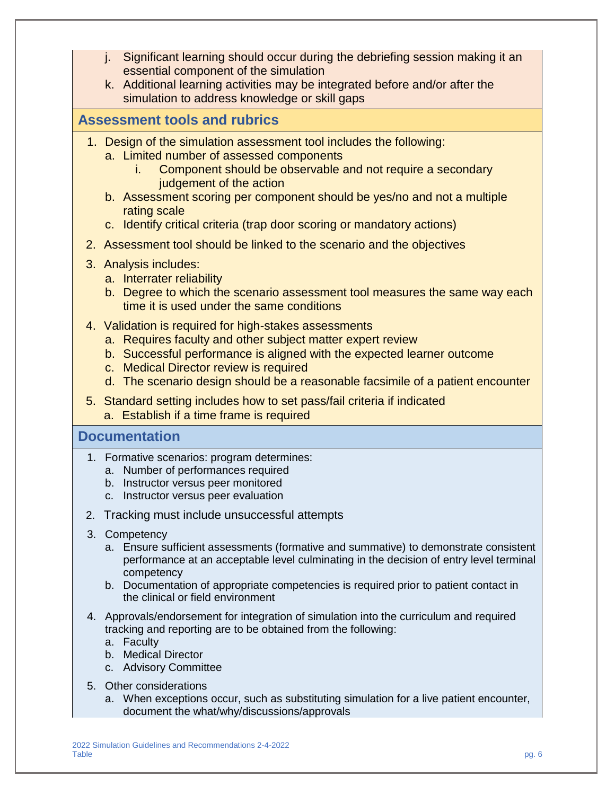- j. Significant learning should occur during the debriefing session making it an essential component of the simulation
- k. Additional learning activities may be integrated before and/or after the simulation to address knowledge or skill gaps

## **Assessment tools and rubrics**

- 1. Design of the simulation assessment tool includes the following:
	- a. Limited number of assessed components
		- i. Component should be observable and not require a secondary judgement of the action
	- b. Assessment scoring per component should be yes/no and not a multiple rating scale
	- c. Identify critical criteria (trap door scoring or mandatory actions)
- 2. Assessment tool should be linked to the scenario and the objectives
- 3. Analysis includes:
	- a. Interrater reliability
	- b. Degree to which the scenario assessment tool measures the same way each time it is used under the same conditions
- 4. Validation is required for high-stakes assessments
	- a. Requires faculty and other subject matter expert review
	- b. Successful performance is aligned with the expected learner outcome
	- c. Medical Director review is required
	- d. The scenario design should be a reasonable facsimile of a patient encounter
- 5. Standard setting includes how to set pass/fail criteria if indicated a. Establish if a time frame is required
	-

### **Documentation**

- 1. Formative scenarios: program determines:
	- a. Number of performances required
	- b. Instructor versus peer monitored
	- c. Instructor versus peer evaluation
- 2. Tracking must include unsuccessful attempts
- 3. Competency
	- a. Ensure sufficient assessments (formative and summative) to demonstrate consistent performance at an acceptable level culminating in the decision of entry level terminal competency
	- b. Documentation of appropriate competencies is required prior to patient contact in the clinical or field environment
- 4. Approvals/endorsement for integration of simulation into the curriculum and required tracking and reporting are to be obtained from the following:
	- a. Faculty
	- b. Medical Director
	- c. Advisory Committee
- 5. Other considerations
	- a. When exceptions occur, such as substituting simulation for a live patient encounter, document the what/why/discussions/approvals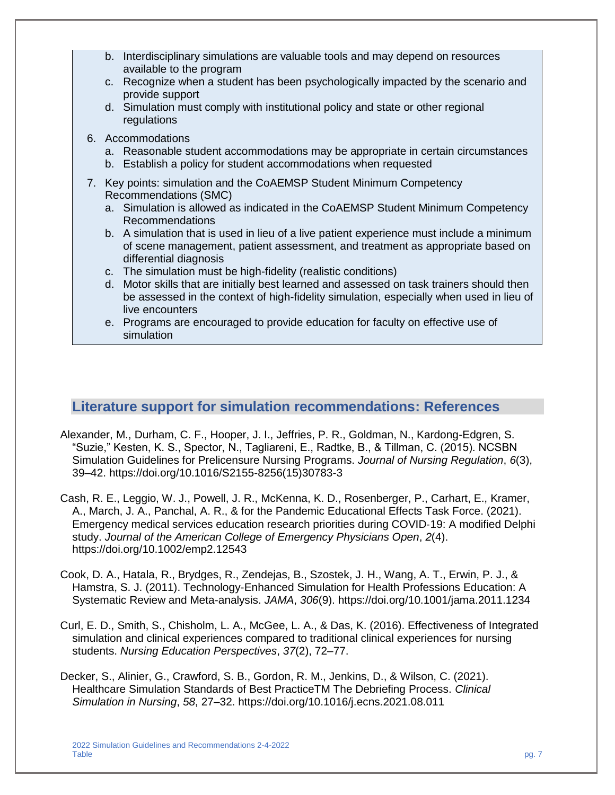- b. Interdisciplinary simulations are valuable tools and may depend on resources available to the program
- c. Recognize when a student has been psychologically impacted by the scenario and provide support
- d. Simulation must comply with institutional policy and state or other regional regulations
- 6. Accommodations
	- a. Reasonable student accommodations may be appropriate in certain circumstances
	- b. Establish a policy for student accommodations when requested
- 7. Key points: simulation and the CoAEMSP Student Minimum Competency Recommendations (SMC)
	- a. Simulation is allowed as indicated in the CoAEMSP Student Minimum Competency Recommendations
	- b. A simulation that is used in lieu of a live patient experience must include a minimum of scene management, patient assessment, and treatment as appropriate based on differential diagnosis
	- c. The simulation must be high-fidelity (realistic conditions)
	- d. Motor skills that are initially best learned and assessed on task trainers should then be assessed in the context of high-fidelity simulation, especially when used in lieu of live encounters
	- e. Programs are encouraged to provide education for faculty on effective use of simulation

### **Literature support for simulation recommendations: References**

- Alexander, M., Durham, C. F., Hooper, J. I., Jeffries, P. R., Goldman, N., Kardong-Edgren, S. "Suzie," Kesten, K. S., Spector, N., Tagliareni, E., Radtke, B., & Tillman, C. (2015). NCSBN Simulation Guidelines for Prelicensure Nursing Programs. *Journal of Nursing Regulation*, *6*(3), 39–42. https://doi.org/10.1016/S2155-8256(15)30783-3
- Cash, R. E., Leggio, W. J., Powell, J. R., McKenna, K. D., Rosenberger, P., Carhart, E., Kramer, A., March, J. A., Panchal, A. R., & for the Pandemic Educational Effects Task Force. (2021). Emergency medical services education research priorities during COVID‐19: A modified Delphi study. *Journal of the American College of Emergency Physicians Open*, *2*(4). https://doi.org/10.1002/emp2.12543
- Cook, D. A., Hatala, R., Brydges, R., Zendejas, B., Szostek, J. H., Wang, A. T., Erwin, P. J., & Hamstra, S. J. (2011). Technology-Enhanced Simulation for Health Professions Education: A Systematic Review and Meta-analysis. *JAMA*, *306*(9). https://doi.org/10.1001/jama.2011.1234
- Curl, E. D., Smith, S., Chisholm, L. A., McGee, L. A., & Das, K. (2016). Effectiveness of Integrated simulation and clinical experiences compared to traditional clinical experiences for nursing students. *Nursing Education Perspectives*, *37*(2), 72–77.
- Decker, S., Alinier, G., Crawford, S. B., Gordon, R. M., Jenkins, D., & Wilson, C. (2021). Healthcare Simulation Standards of Best PracticeTM The Debriefing Process. *Clinical Simulation in Nursing*, *58*, 27–32. https://doi.org/10.1016/j.ecns.2021.08.011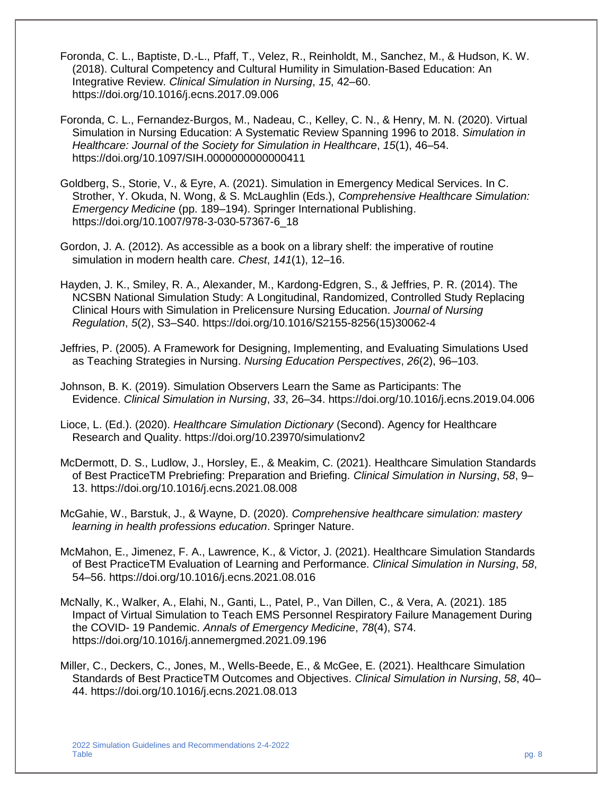- Foronda, C. L., Baptiste, D.-L., Pfaff, T., Velez, R., Reinholdt, M., Sanchez, M., & Hudson, K. W. (2018). Cultural Competency and Cultural Humility in Simulation-Based Education: An Integrative Review. *Clinical Simulation in Nursing*, *15*, 42–60. https://doi.org/10.1016/j.ecns.2017.09.006
- Foronda, C. L., Fernandez-Burgos, M., Nadeau, C., Kelley, C. N., & Henry, M. N. (2020). Virtual Simulation in Nursing Education: A Systematic Review Spanning 1996 to 2018. *Simulation in Healthcare: Journal of the Society for Simulation in Healthcare*, *15*(1), 46–54. https://doi.org/10.1097/SIH.0000000000000411
- Goldberg, S., Storie, V., & Eyre, A. (2021). Simulation in Emergency Medical Services. In C. Strother, Y. Okuda, N. Wong, & S. McLaughlin (Eds.), *Comprehensive Healthcare Simulation: Emergency Medicine* (pp. 189–194). Springer International Publishing. https://doi.org/10.1007/978-3-030-57367-6\_18
- Gordon, J. A. (2012). As accessible as a book on a library shelf: the imperative of routine simulation in modern health care. *Chest*, *141*(1), 12–16.
- Hayden, J. K., Smiley, R. A., Alexander, M., Kardong-Edgren, S., & Jeffries, P. R. (2014). The NCSBN National Simulation Study: A Longitudinal, Randomized, Controlled Study Replacing Clinical Hours with Simulation in Prelicensure Nursing Education. *Journal of Nursing Regulation*, *5*(2), S3–S40. https://doi.org/10.1016/S2155-8256(15)30062-4
- Jeffries, P. (2005). A Framework for Designing, Implementing, and Evaluating Simulations Used as Teaching Strategies in Nursing. *Nursing Education Perspectives*, *26*(2), 96–103.
- Johnson, B. K. (2019). Simulation Observers Learn the Same as Participants: The Evidence. *Clinical Simulation in Nursing*, *33*, 26–34. https://doi.org/10.1016/j.ecns.2019.04.006
- Lioce, L. (Ed.). (2020). *Healthcare Simulation Dictionary* (Second). Agency for Healthcare Research and Quality. https://doi.org/10.23970/simulationv2
- McDermott, D. S., Ludlow, J., Horsley, E., & Meakim, C. (2021). Healthcare Simulation Standards of Best PracticeTM Prebriefing: Preparation and Briefing. *Clinical Simulation in Nursing*, *58*, 9– 13. https://doi.org/10.1016/j.ecns.2021.08.008
- McGahie, W., Barstuk, J., & Wayne, D. (2020). *Comprehensive healthcare simulation: mastery learning in health professions education*. Springer Nature.
- McMahon, E., Jimenez, F. A., Lawrence, K., & Victor, J. (2021). Healthcare Simulation Standards of Best PracticeTM Evaluation of Learning and Performance. *Clinical Simulation in Nursing*, *58*, 54–56. https://doi.org/10.1016/j.ecns.2021.08.016
- McNally, K., Walker, A., Elahi, N., Ganti, L., Patel, P., Van Dillen, C., & Vera, A. (2021). 185 Impact of Virtual Simulation to Teach EMS Personnel Respiratory Failure Management During the COVID- 19 Pandemic. *Annals of Emergency Medicine*, *78*(4), S74. https://doi.org/10.1016/j.annemergmed.2021.09.196
- Miller, C., Deckers, C., Jones, M., Wells-Beede, E., & McGee, E. (2021). Healthcare Simulation Standards of Best PracticeTM Outcomes and Objectives. *Clinical Simulation in Nursing*, *58*, 40– 44. https://doi.org/10.1016/j.ecns.2021.08.013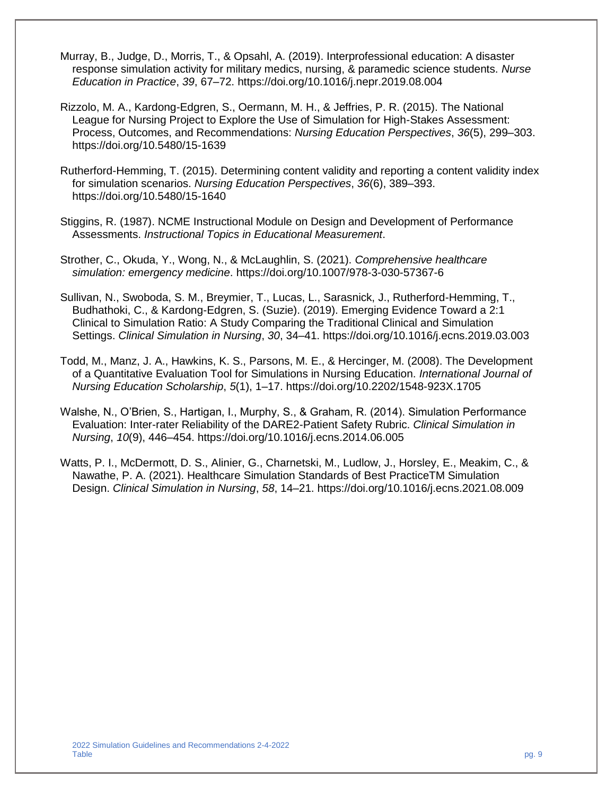- Murray, B., Judge, D., Morris, T., & Opsahl, A. (2019). Interprofessional education: A disaster response simulation activity for military medics, nursing, & paramedic science students. *Nurse Education in Practice*, *39*, 67–72. https://doi.org/10.1016/j.nepr.2019.08.004
- Rizzolo, M. A., Kardong-Edgren, S., Oermann, M. H., & Jeffries, P. R. (2015). The National League for Nursing Project to Explore the Use of Simulation for High-Stakes Assessment: Process, Outcomes, and Recommendations: *Nursing Education Perspectives*, *36*(5), 299–303. https://doi.org/10.5480/15-1639
- Rutherford-Hemming, T. (2015). Determining content validity and reporting a content validity index for simulation scenarios. *Nursing Education Perspectives*, *36*(6), 389–393. https://doi.org/10.5480/15-1640
- Stiggins, R. (1987). NCME Instructional Module on Design and Development of Performance Assessments. *Instructional Topics in Educational Measurement*.
- Strother, C., Okuda, Y., Wong, N., & McLaughlin, S. (2021). *Comprehensive healthcare simulation: emergency medicine*. https://doi.org/10.1007/978-3-030-57367-6
- Sullivan, N., Swoboda, S. M., Breymier, T., Lucas, L., Sarasnick, J., Rutherford-Hemming, T., Budhathoki, C., & Kardong-Edgren, S. (Suzie). (2019). Emerging Evidence Toward a 2:1 Clinical to Simulation Ratio: A Study Comparing the Traditional Clinical and Simulation Settings. *Clinical Simulation in Nursing*, *30*, 34–41. https://doi.org/10.1016/j.ecns.2019.03.003
- Todd, M., Manz, J. A., Hawkins, K. S., Parsons, M. E., & Hercinger, M. (2008). The Development of a Quantitative Evaluation Tool for Simulations in Nursing Education. *International Journal of Nursing Education Scholarship*, *5*(1), 1–17. https://doi.org/10.2202/1548-923X.1705
- Walshe, N., O'Brien, S., Hartigan, I., Murphy, S., & Graham, R. (2014). Simulation Performance Evaluation: Inter-rater Reliability of the DARE2-Patient Safety Rubric. *Clinical Simulation in Nursing*, *10*(9), 446–454. https://doi.org/10.1016/j.ecns.2014.06.005
- Watts, P. I., McDermott, D. S., Alinier, G., Charnetski, M., Ludlow, J., Horsley, E., Meakim, C., & Nawathe, P. A. (2021). Healthcare Simulation Standards of Best PracticeTM Simulation Design. *Clinical Simulation in Nursing*, *58*, 14–21. https://doi.org/10.1016/j.ecns.2021.08.009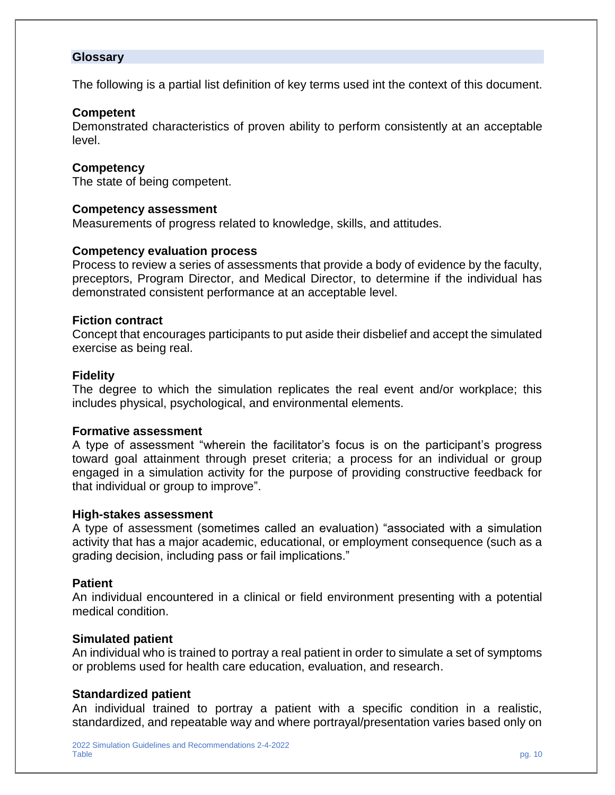#### **Glossary**

The following is a partial list definition of key terms used int the context of this document.

#### **Competent**

Demonstrated characteristics of proven ability to perform consistently at an acceptable level.

#### **Competency**

The state of being competent.

#### **Competency assessment**

Measurements of progress related to knowledge, skills, and attitudes.

#### **Competency evaluation process**

Process to review a series of assessments that provide a body of evidence by the faculty, preceptors, Program Director, and Medical Director, to determine if the individual has demonstrated consistent performance at an acceptable level.

#### **Fiction contract**

Concept that encourages participants to put aside their disbelief and accept the simulated exercise as being real.

#### **Fidelity**

The degree to which the simulation replicates the real event and/or workplace; this includes physical, psychological, and environmental elements.

#### **Formative assessment**

A type of assessment "wherein the facilitator's focus is on the participant's progress toward goal attainment through preset criteria; a process for an individual or group engaged in a simulation activity for the purpose of providing constructive feedback for that individual or group to improve".

#### **High-stakes assessment**

A type of assessment (sometimes called an evaluation) "associated with a simulation activity that has a major academic, educational, or employment consequence (such as a grading decision, including pass or fail implications."

#### **Patient**

An individual encountered in a clinical or field environment presenting with a potential medical condition.

#### **Simulated patient**

An individual who is trained to portray a real patient in order to simulate a set of symptoms or problems used for health care education, evaluation, and research.

#### **Standardized patient**

An individual trained to portray a patient with a specific condition in a realistic, standardized, and repeatable way and where portrayal/presentation varies based only on